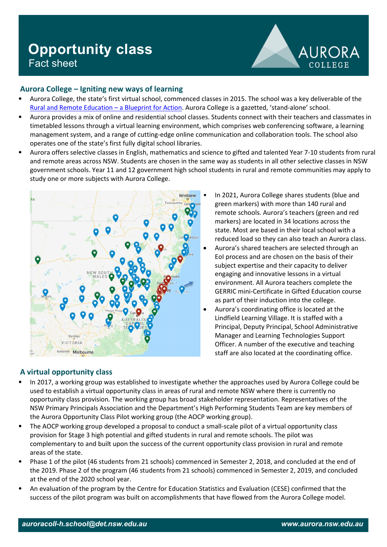# **Opportunity class** Fact sheet



## **Aurora College – Igniting new ways of learning**

- Aurora College, the state's first virtual school, commenced classes in 2015. The school was a key deliverable of the [Rural and Remote Education –](https://education.nsw.gov.au/teaching-and-learning/curriculum/rural-and-distance-education/rural-and-remote-education/blueprint-for-action) a Blueprint for Action. Aurora College is a gazetted, 'stand-alone' school.
- Aurora provides a mix of online and residential school classes. Students connect with their teachers and classmates in timetabled lessons through a virtual learning environment, which comprises web conferencing software, a learning management system, and a range of cutting-edge online communication and collaboration tools. The school also operates one of the state's first fully digital school libraries.
- Aurora offers selective classes in English, mathematics and science to gifted and talented Year 7-10 students from rural and remote areas across NSW. Students are chosen in the same way as students in all other selective classes in NSW government schools. Year 11 and 12 government high school students in rural and remote communities may apply to study one or more subjects with Aurora College.



- In 2021, Aurora College shares students (blue and green markers) with more than 140 rural and remote schools. Aurora's teachers (green and red markers) are located in 34 locations across the state. Most are based in their local school with a reduced load so they can also teach an Aurora class.
- Aurora's shared teachers are selected through an EoI process and are chosen on the basis of their subject expertise and their capacity to deliver engaging and innovative lessons in a virtual environment. All Aurora teachers complete the GERRIC mini-Certificate in Gifted Education course as part of their induction into the college.
- Aurora's coordinating office is located at the Lindfield Learning Village. It is staffed with a Principal, Deputy Principal, School Administrative Manager and Learning Technologies Support Officer. A number of the executive and teaching staff are also located at the coordinating office.

## **A virtual opportunity class**

- In 2017, a working group was established to investigate whether the approaches used by Aurora College could be used to establish a virtual opportunity class in areas of rural and remote NSW where there is currently no opportunity class provision. The working group has broad stakeholder representation. Representatives of the NSW Primary Principals Association and the Department's High Performing Students Team are key members of the Aurora Opportunity Class Pilot working group (the AOCP working group).
- The AOCP working group developed a proposal to conduct a small-scale pilot of a virtual opportunity class provision for Stage 3 high potential and gifted students in rural and remote schools. The pilot was complementary to and built upon the success of the current opportunity class provision in rural and remote areas of the state.
- Phase 1 of the pilot (46 students from 21 schools) commenced in Semester 2, 2018, and concluded at the end of the 2019. Phase 2 of the program (46 students from 21 schools) commenced in Semester 2, 2019, and concluded at the end of the 2020 school year.
- An evaluation of the program by the Centre for Education Statistics and Evaluation (CESE) confirmed that the success of the pilot program was built on accomplishments that have flowed from the Aurora College model.